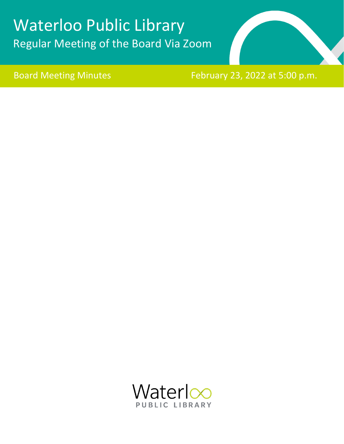# Waterloo Public Library Regular Meeting of the Board Via Zoom



Board Meeting Minutes February 23, 2022 at 5:00 p.m.

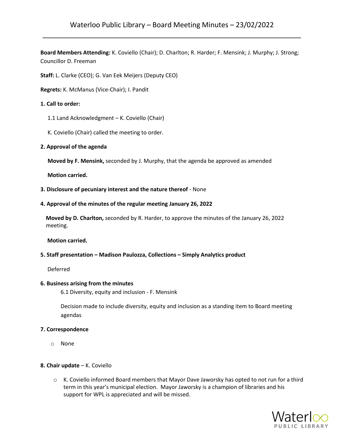**Board Members Attending:** K. Coviello (Chair); D. Charlton; R. Harder; F. Mensink; J. Murphy; J. Strong; Councillor D. Freeman

**Staff:** L. Clarke (CEO); G. Van Eek Meijers (Deputy CEO)

**Regrets:** K. McManus (Vice-Chair); I. Pandit

## **1. Call to order:**

- 1.1 Land Acknowledgment K. Coviello (Chair)
- K. Coviello (Chair) called the meeting to order.
- **2. Approval of the agenda**

**Moved by F. Mensink,** seconded by J. Murphy, that the agenda be approved as amended

 **Motion carried.**

- **3. Disclosure of pecuniary interest and the nature thereof**  None
- **4. Approval of the minutes of the regular meeting January 26, 2022**

**Moved by D. Charlton,** seconded by R. Harder, to approve the minutes of the January 26, 2022 meeting.

## **Motion carried.**

#### **5. Staff presentation – Madison Paulozza, Collections – Simply Analytics product**

Deferred

#### **6. Business arising from the minutes**

6.1 Diversity, equity and inclusion - F. Mensink

Decision made to include diversity, equity and inclusion as a standing item to Board meeting agendas

#### **7. Correspondence**

o None

#### **8. Chair update** – K. Coviello

o K. Coviello informed Board members that Mayor Dave Jaworsky has opted to not run for a third term in this year's municipal election. Mayor Jaworsky is a champion of libraries and his support for WPL is appreciated and will be missed.